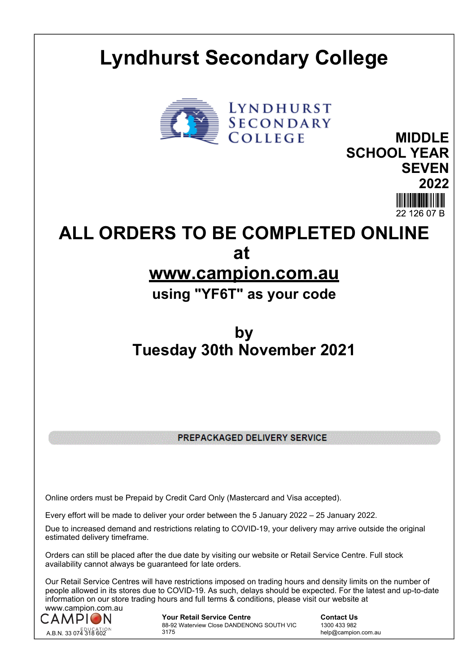## **Lyndhurst Secondary College**



**MIDDLE SCHOOL YEAR SEVEN 2022** 22 126 07 B

**ALL ORDERS TO BE COMPLETED ONLINE at** 

## **www.campion.com.au**

**using "YF6T" as your code**

## **by Tuesday 30th November 2021**

PREPACKAGED DELIVERY SERVICE

Online orders must be Prepaid by Credit Card Only (Mastercard and Visa accepted).

Every effort will be made to deliver your order between the 5 January 2022 – 25 January 2022.

Due to increased demand and restrictions relating to COVID-19, your delivery may arrive outside the original estimated delivery timeframe.

Orders can still be placed after the due date by visiting our website or Retail Service Centre. Full stock availability cannot always be guaranteed for late orders.

Our Retail Service Centres will have restrictions imposed on trading hours and density limits on the number of people allowed in its stores due to COVID-19. As such, delays should be expected. For the latest and up-to-date information on our store trading hours and full terms & conditions, please visit our website at www.campion.com.au



**Your Retail Service Centre Contact Us** 88-92 Waterview Close DANDENONG SOUTH VIC 3175

1300 433 982 help@campion.com.au